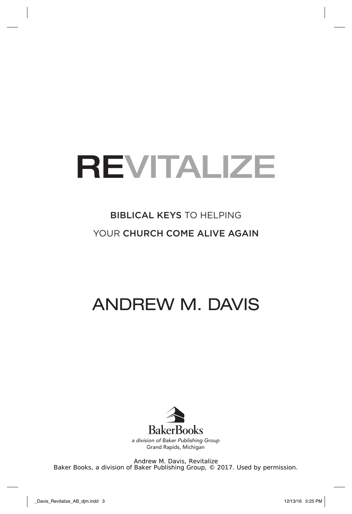# REVITALIZE

# BIBLICAL KEYS TO HELPING YOUR CHURCH COME ALIVE AGAIN

# ANDREW M. DAVIS



**BakerBooks**<br>a division of Baker Publishing Group<br>Grand Rapids, Michigan

Andrew M. Davis, Revitalize Baker Books, a division of Baker Publishing Group, © 2017. Used by permission.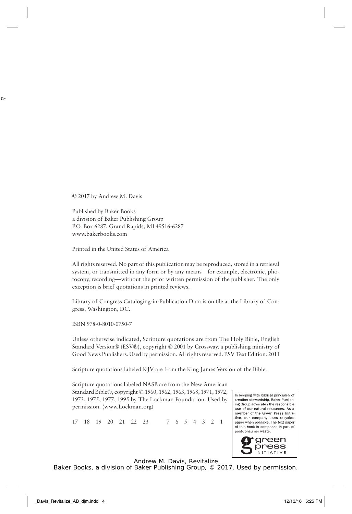© 2017 by Andrew M. Davis

Published by Baker Books a division of Baker Publishing Group P.O. Box 6287, Grand Rapids, MI 49516-6287 [www.bakerbooks.com](http://www.bakerbooks.com)

Printed in the United States of America

All rights reserved. No part of this publication may be reproduced, stored in a retrieval system, or transmitted in any form or by any means—for example, electronic, photocopy, recording—without the prior written permission of the publisher. The only exception is brief quotations in printed reviews.

Library of Congress Cataloging-in-Publication Data is on file at the Library of Congress, Washington, DC.

ISBN 978-0-8010-0750-7

Unless otherwise indicated, Scripture quotations are from The Holy Bible, English Standard Version® (ESV®), copyright © 2001 by Crossway, a publishing ministry of Good News Publishers. Used by permission. All rights reserved. ESV Text Edition: 2011

Scripture quotations labeled KJV are from the King James Version of the Bible.

Scripture quotations labeled NASB are from the New American Standard Bible®, copyright © 1960, 1962, 1963, 1968, 1971, 1972, 1973, 1975, 1977, 1995 by The Lockman Foundation. Used by permission. (www.Lockman.org)

17 18 19 20 21 22 23 7 6 5 4 3 2 1





Andrew M. Davis, Revitalize Baker Books, a division of Baker Publishing Group, © 2017. Used by permission.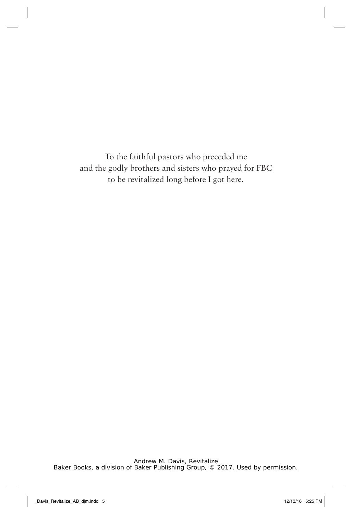To the faithful pastors who preceded me and the godly brothers and sisters who prayed for FBC to be revitalized long before I got here.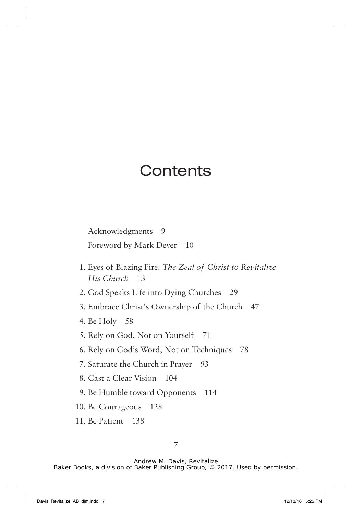# **Contents**

Acknowledgments 9 Foreword by Mark Dever 10

- 1. Eyes of Blazing Fire: *The Zeal of Christ to Revitalize His Church* 13
- 2. God Speaks Life into Dying Churches 29
- 3. Embrace Christ's Ownership of the Church 47
- 4. Be Holy 58
- 5. Rely on God, Not on Yourself 71
- 6. Rely on God's Word, Not on Techniques 78
- 7. Saturate the Church in Prayer 93
- 8. Cast a Clear Vision 104
- 9. Be Humble toward Opponents 114
- 10. Be Courageous 128
- 11. Be Patient 138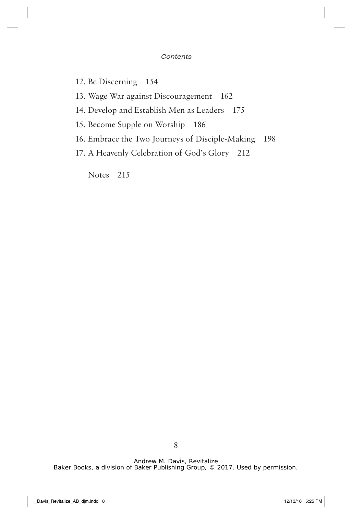#### *Contents*

- 12. Be Discerning 154
- 13. Wage War against Discouragement 162
- 14. Develop and Establish Men as Leaders 175
- 15. Become Supple on Worship 186
- 16. Embrace the Two Journeys of Disciple-Making 198
- 17. A Heavenly Celebration of God's Glory 212

Notes 215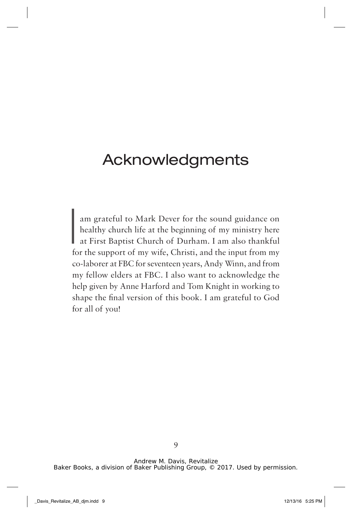# Acknowledgments

I am grateful to Mark Dever for the sound guidance on<br>healthy church life at the beginning of my ministry here<br>at First Baptist Church of Durham. I am also thankful<br>for the support of my wife. Christi, and the input from m healthy church life at the beginning of my ministry here at First Baptist Church of Durham. I am also thankful for the support of my wife, Christi, and the input from my co-laborer at FBC for seventeen years, Andy Winn, and from my fellow elders at FBC. I also want to acknowledge the help given by Anne Harford and Tom Knight in working to shape the final version of this book. I am grateful to God for all of you!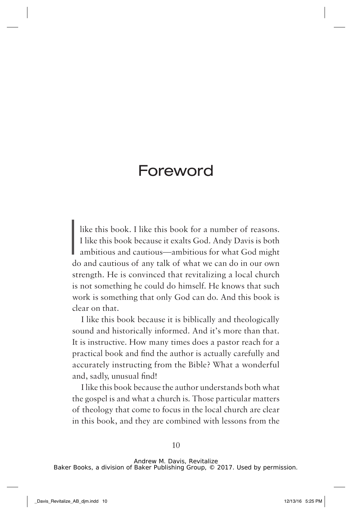# Foreword

I like this book. I like this book for a number of reasons.<br>I like this book because it exalts God. Andy Davis is both<br>ambitious and cautious—ambitious for what God might<br>do and cautious of any talk of what we can do in ou I like this book because it exalts God. Andy Davis is both ambitious and cautious—ambitious for what God might do and cautious of any talk of what we can do in our own strength. He is convinced that revitalizing a local church is not something he could do himself. He knows that such work is something that only God can do. And this book is clear on that.

I like this book because it is biblically and theologically sound and historically informed. And it's more than that. It is instructive. How many times does a pastor reach for a practical book and find the author is actually carefully and accurately instructing from the Bible? What a wonderful and, sadly, unusual find!

I like this book because the author understands both what the gospel is and what a church is. Those particular matters of theology that come to focus in the local church are clear in this book, and they are combined with lessons from the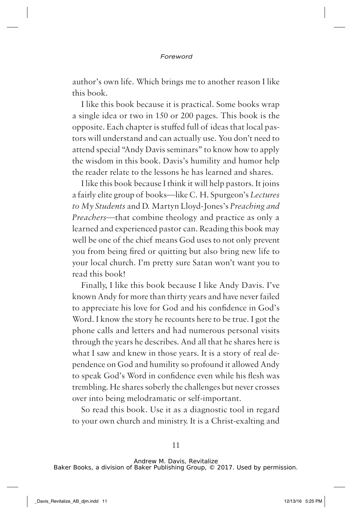#### *Foreword*

author's own life. Which brings me to another reason I like this book.

I like this book because it is practical. Some books wrap a single idea or two in 150 or 200 pages. This book is the opposite. Each chapter is stuffed full of ideas that local pastors will understand and can actually use. You don't need to attend special "Andy Davis seminars" to know how to apply the wisdom in this book. Davis's humility and humor help the reader relate to the lessons he has learned and shares.

I like this book because I think it will help pastors. It joins a fairly elite group of books—like C. H. Spurgeon's *Lectures to My Students* and D. Martyn Lloyd-Jones's *Preaching and Preachers*—that combine theology and practice as only a learned and experienced pastor can. Reading this book may well be one of the chief means God uses to not only prevent you from being fired or quitting but also bring new life to your local church. I'm pretty sure Satan won't want you to read this book!

Finally, I like this book because I like Andy Davis. I've known Andy for more than thirty years and have never failed to appreciate his love for God and his confidence in God's Word. I know the story he recounts here to be true. I got the phone calls and letters and had numerous personal visits through the years he describes. And all that he shares here is what I saw and knew in those years. It is a story of real dependence on God and humility so profound it allowed Andy to speak God's Word in confidence even while his flesh was trembling. He shares soberly the challenges but never crosses over into being melodramatic or self-important.

So read this book. Use it as a diagnostic tool in regard to your own church and ministry. It is a Christ-exalting and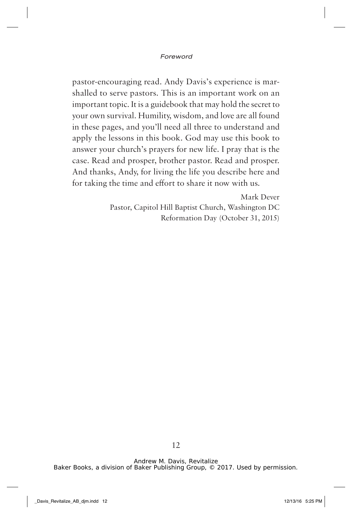## *Foreword*

pastor-encouraging read. Andy Davis's experience is marshalled to serve pastors. This is an important work on an important topic. It is a guidebook that may hold the secret to your own survival. Humility, wisdom, and love are all found in these pages, and you'll need all three to understand and apply the lessons in this book. God may use this book to answer your church's prayers for new life. I pray that is the case. Read and prosper, brother pastor. Read and prosper. And thanks, Andy, for living the life you describe here and for taking the time and effort to share it now with us.

> Mark Dever Pastor, Capitol Hill Baptist Church, Washington DC Reformation Day (October 31, 2015)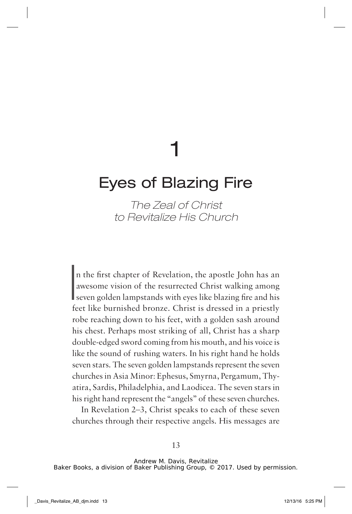1

# Eyes of Blazing Fire

*The Zeal of Christ to Revitalize His Church*

 $\begin{bmatrix} 1 \\ 2 \\ 3 \\ 4 \end{bmatrix}$ n the first chapter of Revelation, the apostle John has an awesome vision of the resurrected Christ walking among seven golden lampstands with eyes like blazing fire and his feet like burnished bronze. Christ is dressed in a priestly robe reaching down to his feet, with a golden sash around his chest. Perhaps most striking of all, Christ has a sharp double-edged sword coming from his mouth, and his voice is like the sound of rushing waters. In his right hand he holds seven stars. The seven golden lampstands represent the seven churches in Asia Minor: Ephesus, Smyrna, Pergamum, Thyatira, Sardis, Philadelphia, and Laodicea. The seven stars in his right hand represent the "angels" of these seven churches.

In Revelation 2–3, Christ speaks to each of these seven churches through their respective angels. His messages are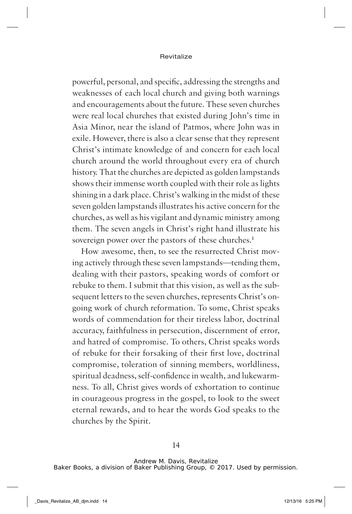powerful, personal, and specific, addressing the strengths and weaknesses of each local church and giving both warnings and encouragements about the future. These seven churches were real local churches that existed during John's time in Asia Minor, near the island of Patmos, where John was in exile. However, there is also a clear sense that they represent Christ's intimate knowledge of and concern for each local church around the world throughout every era of church history. That the churches are depicted as golden lampstands shows their immense worth coupled with their role as lights shining in a dark place. Christ's walking in the midst of these seven golden lampstands illustrates his active concern for the churches, as well as his vigilant and dynamic ministry among them. The seven angels in Christ's right hand illustrate his sovereign power over the pastors of these churches.**<sup>1</sup>**

How awesome, then, to see the resurrected Christ moving actively through these seven lampstands—tending them, dealing with their pastors, speaking words of comfort or rebuke to them. I submit that this vision, as well as the subsequent letters to the seven churches, represents Christ's ongoing work of church reformation. To some, Christ speaks words of commendation for their tireless labor, doctrinal accuracy, faithfulness in persecution, discernment of error, and hatred of compromise. To others, Christ speaks words of rebuke for their forsaking of their first love, doctrinal compromise, toleration of sinning members, worldliness, spiritual deadness, self-confidence in wealth, and lukewarmness. To all, Christ gives words of exhortation to continue in courageous progress in the gospel, to look to the sweet eternal rewards, and to hear the words God speaks to the churches by the Spirit.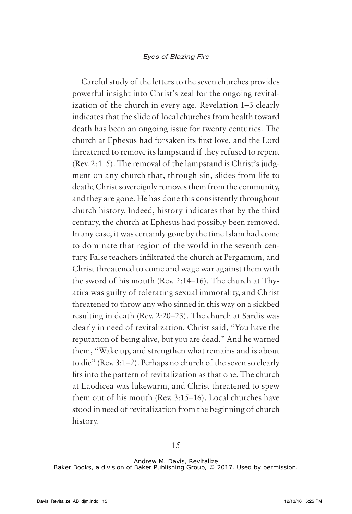Careful study of the letters to the seven churches provides powerful insight into Christ's zeal for the ongoing revitalization of the church in every age. Revelation 1–3 clearly indicates that the slide of local churches from health toward death has been an ongoing issue for twenty centuries. The church at Ephesus had forsaken its first love, and the Lord threatened to remove its lampstand if they refused to repent (Rev. 2:4–5). The removal of the lampstand is Christ's judgment on any church that, through sin, slides from life to death; Christ sovereignly removes them from the community, and they are gone. He has done this consistently throughout church history. Indeed, history indicates that by the third century, the church at Ephesus had possibly been removed. In any case, it was certainly gone by the time Islam had come to dominate that region of the world in the seventh century. False teachers infiltrated the church at Pergamum, and Christ threatened to come and wage war against them with the sword of his mouth (Rev. 2:14–16). The church at Thyatira was guilty of tolerating sexual immorality, and Christ threatened to throw any who sinned in this way on a sickbed resulting in death (Rev. 2:20–23). The church at Sardis was clearly in need of revitalization. Christ said, "You have the reputation of being alive, but you are dead." And he warned them, "Wake up, and strengthen what remains and is about to die" (Rev. 3:1–2). Perhaps no church of the seven so clearly fits into the pattern of revitalization as that one. The church at Laodicea was lukewarm, and Christ threatened to spew them out of his mouth (Rev. 3:15–16). Local churches have stood in need of revitalization from the beginning of church history.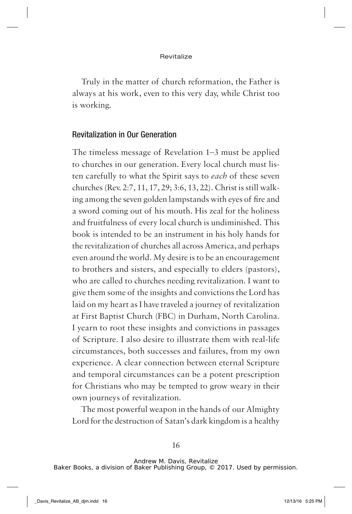Truly in the matter of church reformation, the Father is always at his work, even to this very day, while Christ too is working.

## Revitalization in Our Generation

The timeless message of Revelation 1–3 must be applied to churches in our generation. Every local church must listen carefully to what the Spirit says to *each* of these seven churches (Rev. 2:7, 11, 17, 29; 3:6, 13, 22). Christ is still walking among the seven golden lampstands with eyes of fire and a sword coming out of his mouth. His zeal for the holiness and fruitfulness of every local church is undiminished. This book is intended to be an instrument in his holy hands for the revitalization of churches all across America, and perhaps even around the world. My desire is to be an encouragement to brothers and sisters, and especially to elders (pastors), who are called to churches needing revitalization. I want to give them some of the insights and convictions the Lord has laid on my heart as I have traveled a journey of revitalization at First Baptist Church (FBC) in Durham, North Carolina. I yearn to root these insights and convictions in passages of Scripture. I also desire to illustrate them with real-life circumstances, both successes and failures, from my own experience. A clear connection between eternal Scripture and temporal circumstances can be a potent prescription for Christians who may be tempted to grow weary in their own journeys of revitalization.

The most powerful weapon in the hands of our Almighty Lord for the destruction of Satan's dark kingdom is a healthy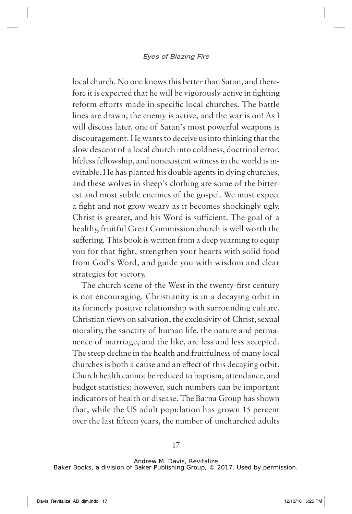local church. No one knows this better than Satan, and therefore it is expected that he will be vigorously active in fighting reform efforts made in specific local churches. The battle lines are drawn, the enemy is active, and the war is on! As I will discuss later, one of Satan's most powerful weapons is discouragement. He wants to deceive us into thinking that the slow descent of a local church into coldness, doctrinal error, lifeless fellowship, and nonexistent witness in the world is inevitable. He has planted his double agents in dying churches, and these wolves in sheep's clothing are some of the bitterest and most subtle enemies of the gospel. We must expect a fight and not grow weary as it becomes shockingly ugly. Christ is greater, and his Word is sufficient. The goal of a healthy, fruitful Great Commission church is well worth the suffering. This book is written from a deep yearning to equip you for that fight, strengthen your hearts with solid food from God's Word, and guide you with wisdom and clear strategies for victory.

The church scene of the West in the twenty-first century is not encouraging. Christianity is in a decaying orbit in its formerly positive relationship with surrounding culture. Christian views on salvation, the exclusivity of Christ, sexual morality, the sanctity of human life, the nature and permanence of marriage, and the like, are less and less accepted. The steep decline in the health and fruitfulness of many local churches is both a cause and an effect of this decaying orbit. Church health cannot be reduced to baptism, attendance, and budget statistics; however, such numbers can be important indicators of health or disease. The Barna Group has shown that, while the US adult population has grown 15 percent over the last fifteen years, the number of unchurched adults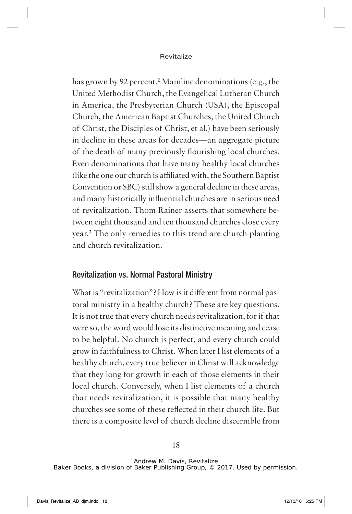has grown by 92 percent.**<sup>2</sup>** Mainline denominations (e.g., the United Methodist Church, the Evangelical Lutheran Church in America, the Presbyterian Church (USA), the Episcopal Church, the American Baptist Churches, the United Church of Christ, the Disciples of Christ, et al.) have been seriously in decline in these areas for decades—an aggregate picture of the death of many previously flourishing local churches. Even denominations that have many healthy local churches (like the one our church is affiliated with, the Southern Baptist Convention or SBC) still show a general decline in these areas, and many historically influential churches are in serious need of revitalization. Thom Rainer asserts that somewhere between eight thousand and ten thousand churches close every year.**<sup>3</sup>** The only remedies to this trend are church planting and church revitalization.

# Revitalization vs. Normal Pastoral Ministry

What is "revitalization"? How is it different from normal pastoral ministry in a healthy church? These are key questions. It is not true that every church needs revitalization, for if that were so, the word would lose its distinctive meaning and cease to be helpful. No church is perfect, and every church could grow in faithfulness to Christ. When later I list elements of a healthy church, every true believer in Christ will acknowledge that they long for growth in each of those elements in their local church. Conversely, when I list elements of a church that needs revitalization, it is possible that many healthy churches see some of these reflected in their church life. But there is a composite level of church decline discernible from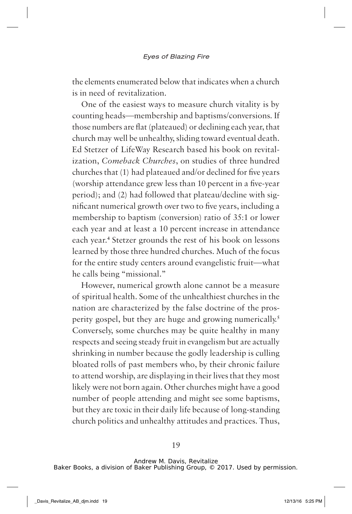the elements enumerated below that indicates when a church is in need of revitalization.

One of the easiest ways to measure church vitality is by counting heads—membership and baptisms/conversions. If those numbers are flat (plateaued) or declining each year, that church may well be unhealthy, sliding toward eventual death. Ed Stetzer of LifeWay Research based his book on revitalization, *Comeback Churches*, on studies of three hundred churches that (1) had plateaued and/or declined for five years (worship attendance grew less than 10 percent in a five-year period); and (2) had followed that plateau/decline with significant numerical growth over two to five years, including a membership to baptism (conversion) ratio of 35:1 or lower each year and at least a 10 percent increase in attendance each year.**<sup>4</sup>** Stetzer grounds the rest of his book on lessons learned by those three hundred churches. Much of the focus for the entire study centers around evangelistic fruit—what he calls being "missional."

However, numerical growth alone cannot be a measure of spiritual health. Some of the unhealthiest churches in the nation are characterized by the false doctrine of the prosperity gospel, but they are huge and growing numerically.**<sup>5</sup>** Conversely, some churches may be quite healthy in many respects and seeing steady fruit in evangelism but are actually shrinking in number because the godly leadership is culling bloated rolls of past members who, by their chronic failure to attend worship, are displaying in their lives that they most likely were not born again. Other churches might have a good number of people attending and might see some baptisms, but they are toxic in their daily life because of long-standing church politics and unhealthy attitudes and practices. Thus,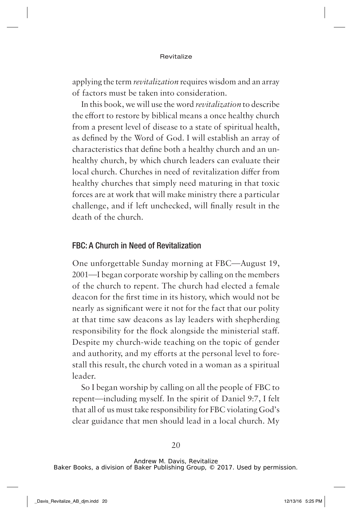applying the term *revitalization* requires wisdom and an array of factors must be taken into consideration.

In this book, we will use the word *revitalization* to describe the effort to restore by biblical means a once healthy church from a present level of disease to a state of spiritual health, as defined by the Word of God. I will establish an array of characteristics that define both a healthy church and an unhealthy church, by which church leaders can evaluate their local church. Churches in need of revitalization differ from healthy churches that simply need maturing in that toxic forces are at work that will make ministry there a particular challenge, and if left unchecked, will finally result in the death of the church.

# FBC: A Church in Need of Revitalization

One unforgettable Sunday morning at FBC—August 19, 2001—I began corporate worship by calling on the members of the church to repent. The church had elected a female deacon for the first time in its history, which would not be nearly as significant were it not for the fact that our polity at that time saw deacons as lay leaders with shepherding responsibility for the flock alongside the ministerial staff. Despite my church-wide teaching on the topic of gender and authority, and my efforts at the personal level to forestall this result, the church voted in a woman as a spiritual leader.

So I began worship by calling on all the people of FBC to repent—including myself. In the spirit of Daniel 9:7, I felt that all of us must take responsibility for FBC violating God's clear guidance that men should lead in a local church. My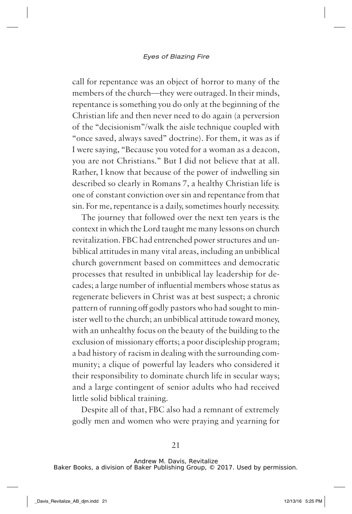call for repentance was an object of horror to many of the members of the church—they were outraged. In their minds, repentance is something you do only at the beginning of the Christian life and then never need to do again (a perversion of the "decisionism"/walk the aisle technique coupled with "once saved, always saved" doctrine). For them, it was as if I were saying, "Because you voted for a woman as a deacon, you are not Christians." But I did not believe that at all. Rather, I know that because of the power of indwelling sin described so clearly in Romans 7, a healthy Christian life is one of constant conviction over sin and repentance from that sin. For me, repentance is a daily, sometimes hourly necessity.

The journey that followed over the next ten years is the context in which the Lord taught me many lessons on church revitalization. FBC had entrenched power structures and unbiblical attitudes in many vital areas, including an unbiblical church government based on committees and democratic processes that resulted in unbiblical lay leadership for decades; a large number of influential members whose status as regenerate believers in Christ was at best suspect; a chronic pattern of running off godly pastors who had sought to minister well to the church; an unbiblical attitude toward money, with an unhealthy focus on the beauty of the building to the exclusion of missionary efforts; a poor discipleship program; a bad history of racism in dealing with the surrounding community; a clique of powerful lay leaders who considered it their responsibility to dominate church life in secular ways; and a large contingent of senior adults who had received little solid biblical training.

Despite all of that, FBC also had a remnant of extremely godly men and women who were praying and yearning for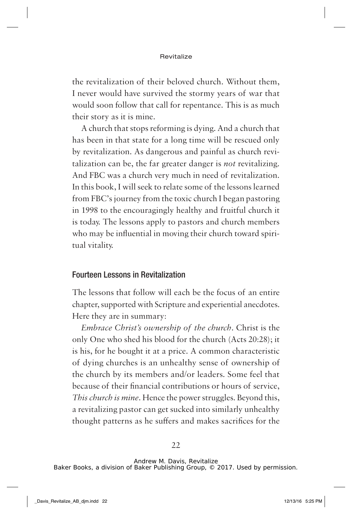the revitalization of their beloved church. Without them, I never would have survived the stormy years of war that would soon follow that call for repentance. This is as much their story as it is mine.

A church that stops reforming is dying. And a church that has been in that state for a long time will be rescued only by revitalization. As dangerous and painful as church revitalization can be, the far greater danger is *not* revitalizing. And FBC was a church very much in need of revitalization. In this book, I will seek to relate some of the lessons learned from FBC's journey from the toxic church I began pastoring in 1998 to the encouragingly healthy and fruitful church it is today. The lessons apply to pastors and church members who may be influential in moving their church toward spiritual vitality.

# Fourteen Lessons in Revitalization

The lessons that follow will each be the focus of an entire chapter, supported with Scripture and experiential anecdotes. Here they are in summary:

*Embrace Christ's ownership of the church*. Christ is the only One who shed his blood for the church (Acts 20:28); it is his, for he bought it at a price. A common characteristic of dying churches is an unhealthy sense of ownership of the church by its members and/or leaders. Some feel that because of their financial contributions or hours of service, *This church is mine*. Hence the power struggles. Beyond this, a revitalizing pastor can get sucked into similarly unhealthy thought patterns as he suffers and makes sacrifices for the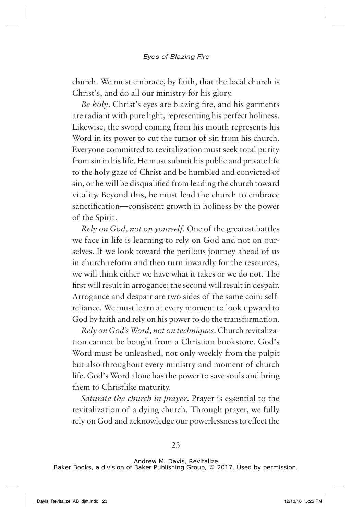church. We must embrace, by faith, that the local church is Christ's, and do all our ministry for his glory.

*Be holy*. Christ's eyes are blazing fire, and his garments are radiant with pure light, representing his perfect holiness. Likewise, the sword coming from his mouth represents his Word in its power to cut the tumor of sin from his church. Everyone committed to revitalization must seek total purity from sin in his life. He must submit his public and private life to the holy gaze of Christ and be humbled and convicted of sin, or he will be disqualified from leading the church toward vitality. Beyond this, he must lead the church to embrace sanctification—consistent growth in holiness by the power of the Spirit.

*Rely on God, not on yourself*. One of the greatest battles we face in life is learning to rely on God and not on ourselves. If we look toward the perilous journey ahead of us in church reform and then turn inwardly for the resources, we will think either we have what it takes or we do not. The first will result in arrogance; the second will result in despair. Arrogance and despair are two sides of the same coin: selfreliance. We must learn at every moment to look upward to God by faith and rely on his power to do the transformation.

*Rely on God's Word, not on techniques*. Church revitalization cannot be bought from a Christian bookstore. God's Word must be unleashed, not only weekly from the pulpit but also throughout every ministry and moment of church life. God's Word alone has the power to save souls and bring them to Christlike maturity.

*Saturate the church in prayer*. Prayer is essential to the revitalization of a dying church. Through prayer, we fully rely on God and acknowledge our powerlessness to effect the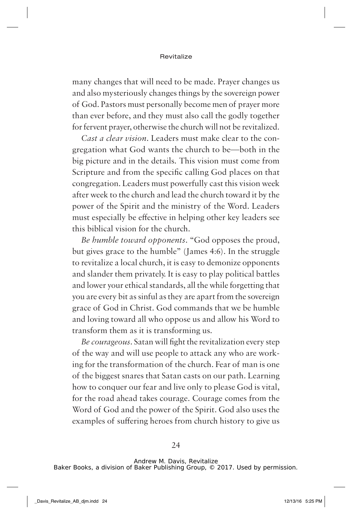many changes that will need to be made. Prayer changes us and also mysteriously changes things by the sovereign power of God. Pastors must personally become men of prayer more than ever before, and they must also call the godly together for fervent prayer, otherwise the church will not be revitalized.

*Cast a clear vision*. Leaders must make clear to the congregation what God wants the church to be—both in the big picture and in the details. This vision must come from Scripture and from the specific calling God places on that congregation. Leaders must powerfully cast this vision week after week to the church and lead the church toward it by the power of the Spirit and the ministry of the Word. Leaders must especially be effective in helping other key leaders see this biblical vision for the church.

*Be humble toward opponents*. "God opposes the proud, but gives grace to the humble" (James 4:6). In the struggle to revitalize a local church, it is easy to demonize opponents and slander them privately. It is easy to play political battles and lower your ethical standards, all the while forgetting that you are every bit as sinful as they are apart from the sovereign grace of God in Christ. God commands that we be humble and loving toward all who oppose us and allow his Word to transform them as it is transforming us.

*Be courageous*. Satan will fight the revitalization every step of the way and will use people to attack any who are working for the transformation of the church. Fear of man is one of the biggest snares that Satan casts on our path. Learning how to conquer our fear and live only to please God is vital, for the road ahead takes courage. Courage comes from the Word of God and the power of the Spirit. God also uses the examples of suffering heroes from church history to give us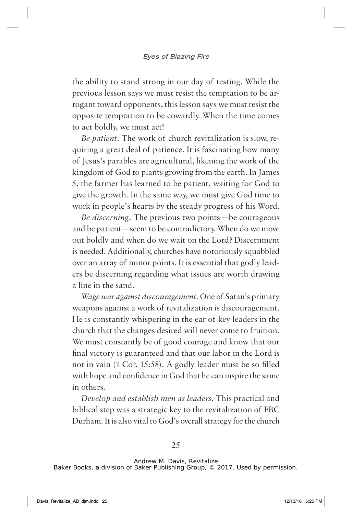the ability to stand strong in our day of testing. While the previous lesson says we must resist the temptation to be arrogant toward opponents, this lesson says we must resist the opposite temptation to be cowardly. When the time comes to act boldly, we must act!

*Be patient*. The work of church revitalization is slow, requiring a great deal of patience. It is fascinating how many of Jesus's parables are agricultural, likening the work of the kingdom of God to plants growing from the earth. In James 5, the farmer has learned to be patient, waiting for God to give the growth. In the same way, we must give God time to work in people's hearts by the steady progress of his Word.

*Be discerning*. The previous two points—be courageous and be patient—seem to be contradictory. When do we move out boldly and when do we wait on the Lord? Discernment is needed. Additionally, churches have notoriously squabbled over an array of minor points. It is essential that godly leaders be discerning regarding what issues are worth drawing a line in the sand.

*Wage war against discouragement*. One of Satan's primary weapons against a work of revitalization is discouragement. He is constantly whispering in the ear of key leaders in the church that the changes desired will never come to fruition. We must constantly be of good courage and know that our final victory is guaranteed and that our labor in the Lord is not in vain (1 Cor. 15:58). A godly leader must be so filled with hope and confidence in God that he can inspire the same in others.

*Develop and establish men as leaders*. This practical and biblical step was a strategic key to the revitalization of FBC Durham. It is also vital to God's overall strategy for the church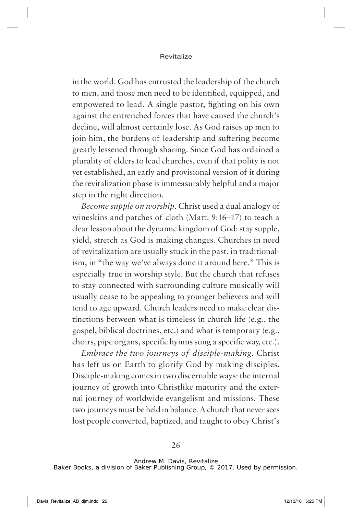in the world. God has entrusted the leadership of the church to men, and those men need to be identified, equipped, and empowered to lead. A single pastor, fighting on his own against the entrenched forces that have caused the church's decline, will almost certainly lose. As God raises up men to join him, the burdens of leadership and suffering become greatly lessened through sharing. Since God has ordained a plurality of elders to lead churches, even if that polity is not yet established, an early and provisional version of it during the revitalization phase is immeasurably helpful and a major step in the right direction.

*Become supple on worship*. Christ used a dual analogy of wineskins and patches of cloth (Matt. 9:16–17) to teach a clear lesson about the dynamic kingdom of God: stay supple, yield, stretch as God is making changes. Churches in need of revitalization are usually stuck in the past, in traditionalism, in "the way we've always done it around here." This is especially true in worship style. But the church that refuses to stay connected with surrounding culture musically will usually cease to be appealing to younger believers and will tend to age upward. Church leaders need to make clear distinctions between what is timeless in church life (e.g., the gospel, biblical doctrines, etc.) and what is temporary (e.g., choirs, pipe organs, specific hymns sung a specific way, etc.).

*Embrace the two journeys of disciple-making*. Christ has left us on Earth to glorify God by making disciples. Disciple-making comes in two discernable ways: the internal journey of growth into Christlike maturity and the external journey of worldwide evangelism and missions. These two journeys must be held in balance. A church that never sees lost people converted, baptized, and taught to obey Christ's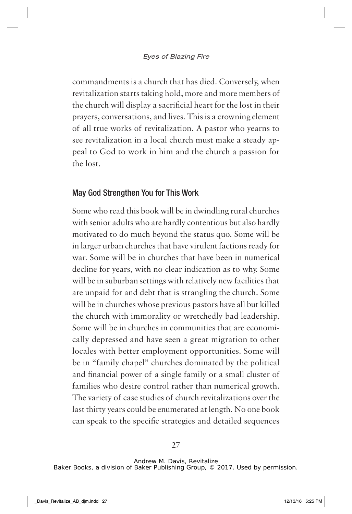commandments is a church that has died. Conversely, when revitalization starts taking hold, more and more members of the church will display a sacrificial heart for the lost in their prayers, conversations, and lives. This is a crowning element of all true works of revitalization. A pastor who yearns to see revitalization in a local church must make a steady appeal to God to work in him and the church a passion for the lost.

# May God Strengthen You for This Work

Some who read this book will be in dwindling rural churches with senior adults who are hardly contentious but also hardly motivated to do much beyond the status quo. Some will be in larger urban churches that have virulent factions ready for war. Some will be in churches that have been in numerical decline for years, with no clear indication as to why. Some will be in suburban settings with relatively new facilities that are unpaid for and debt that is strangling the church. Some will be in churches whose previous pastors have all but killed the church with immorality or wretchedly bad leadership. Some will be in churches in communities that are economically depressed and have seen a great migration to other locales with better employment opportunities. Some will be in "family chapel" churches dominated by the political and financial power of a single family or a small cluster of families who desire control rather than numerical growth. The variety of case studies of church revitalizations over the last thirty years could be enumerated at length. No one book can speak to the specific strategies and detailed sequences